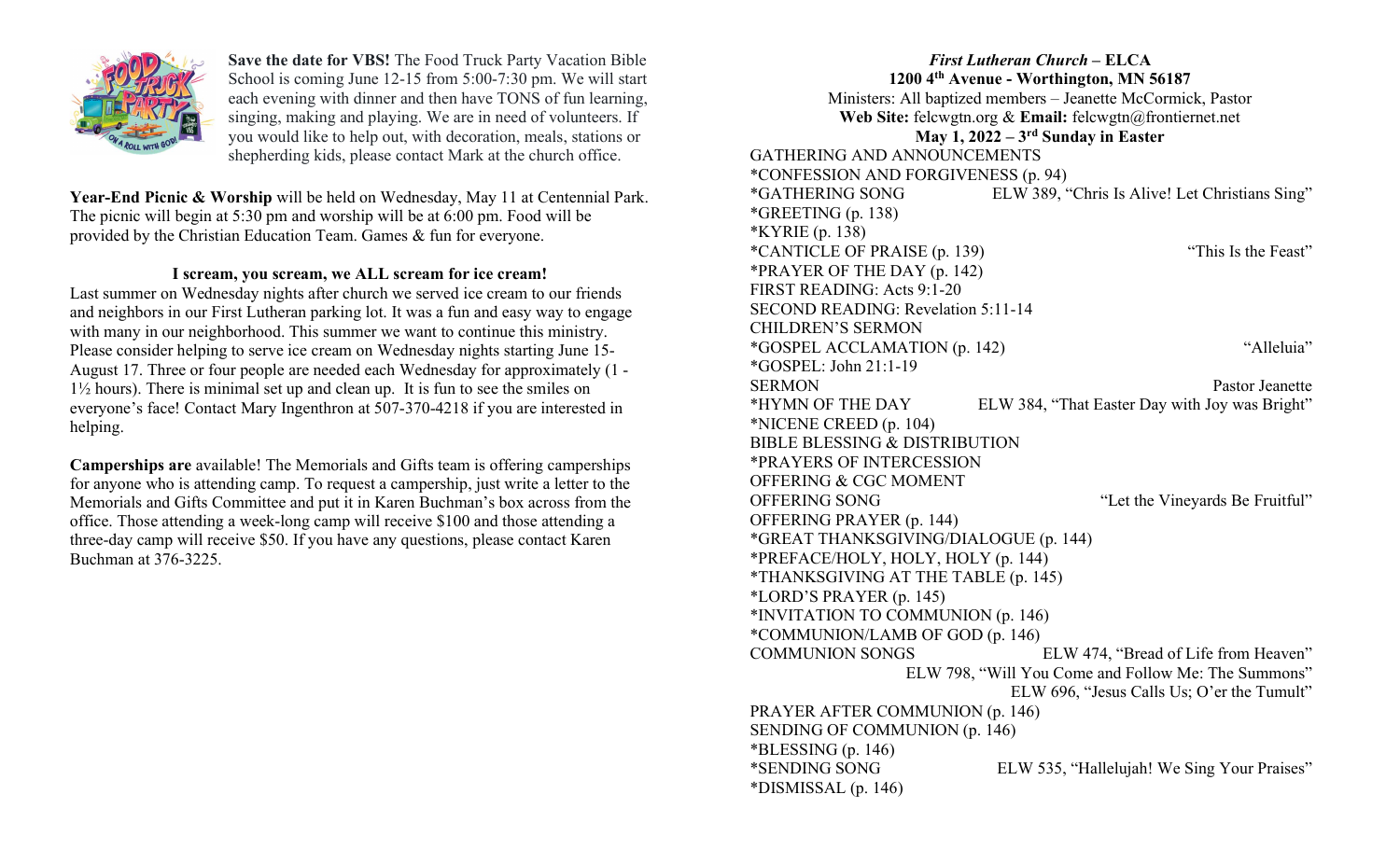

Save the date for VBS! The Food Truck Party Vacation Bible School is coming June 12-15 from 5:00-7:30 pm. We will start each evening with dinner and then have TONS of fun learning, singing, making and playing. We are in need of volunteers. If you would like to help out, with decoration, meals, stations or shepherding kids, please contact Mark at the church office.

Year-End Picnic & Worship will be held on Wednesday, May 11 at Centennial Park. The picnic will begin at 5:30 pm and worship will be at 6:00 pm. Food will be provided by the Christian Education Team. Games & fun for everyone.

## I scream, you scream, we ALL scream for ice cream!

Last summer on Wednesday nights after church we served ice cream to our friends and neighbors in our First Lutheran parking lot. It was a fun and easy way to engage with many in our neighborhood. This summer we want to continue this ministry. Please consider helping to serve ice cream on Wednesday nights starting June 15- August 17. Three or four people are needed each Wednesday for approximately (1 - 1½ hours). There is minimal set up and clean up. It is fun to see the smiles on everyone's face! Contact Mary Ingenthron at 507-370-4218 if you are interested in helping.

Camperships are available! The Memorials and Gifts team is offering camperships for anyone who is attending camp. To request a campership, just write a letter to the Memorials and Gifts Committee and put it in Karen Buchman's box across from the office. Those attending a week-long camp will receive \$100 and those attending a three-day camp will receive \$50. If you have any questions, please contact Karen Buchman at 376-3225.

# First Lutheran Church – ELCA

1200 4th Avenue - Worthington, MN 56187

Ministers: All baptized members – Jeanette McCormick, Pastor Web Site: felcwgtn.org & Email: felcwgtn@frontiernet.net

## May 1,  $2022 - 3$ <sup>rd</sup> Sunday in Easter

GATHERING AND ANNOUNCEMENTS

\*DISMISSAL (p. 146)

\*CONFESSION AND FORGIVENESS (p. 94) \*GATHERING SONG ELW 389, "Chris Is Alive! Let Christians Sing" \*GREETING (p. 138) \*KYRIE (p. 138) \*CANTICLE OF PRAISE (p. 139) "This Is the Feast" \*PRAYER OF THE DAY (p. 142) FIRST READING: Acts 9:1-20 SECOND READING: Revelation 5:11-14 CHILDREN'S SERMON \*GOSPEL ACCLAMATION (p. 142) "Alleluia" \*GOSPEL: John 21:1-19 SERMON Pastor Jeanette \*HYMN OF THE DAY ELW 384, "That Easter Day with Joy was Bright" \*NICENE CREED (p. 104) BIBLE BLESSING & DISTRIBUTION \*PRAYERS OF INTERCESSION OFFERING & CGC MOMENT OFFERING SONG "Let the Vineyards Be Fruitful" OFFERING PRAYER (p. 144) \*GREAT THANKSGIVING/DIALOGUE (p. 144) \*PREFACE/HOLY, HOLY, HOLY (p. 144) \*THANKSGIVING AT THE TABLE (p. 145) \*LORD'S PRAYER (p. 145) \*INVITATION TO COMMUNION (p. 146) \*COMMUNION/LAMB OF GOD (p. 146) COMMUNION SONGS ELW 474, "Bread of Life from Heaven" ELW 798, "Will You Come and Follow Me: The Summons" ELW 696, "Jesus Calls Us; O'er the Tumult" PRAYER AFTER COMMUNION (p. 146) SENDING OF COMMUNION (p. 146)  $*BLESSING (p. 146)$ \*SENDING SONG ELW 535, "Hallelujah! We Sing Your Praises"